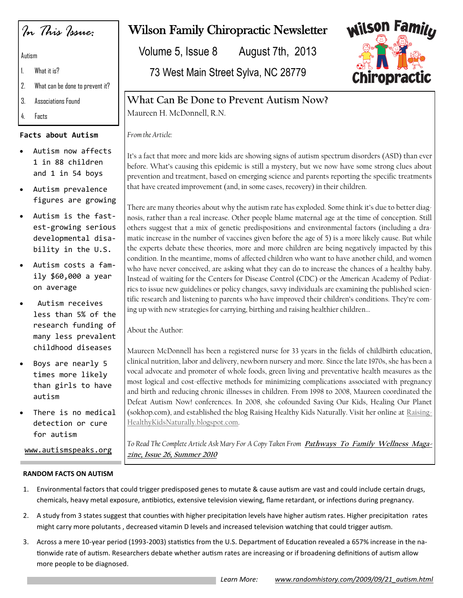*In This Issue:*

Autism

- 1. What it is?
- 2. What can be done to prevent it?
- 3. Associations Found
- 4. Facts

#### **Facts about Autism**

- Autism now affects 1 in 88 children and 1 in 54 boys
- Autism prevalence figures are growing
- Autism is the fastest-growing serious developmental disability in the U.S.
- Autism costs a family \$60,000 a year on average
- Autism receives less than 5% of the research funding of many less prevalent childhood diseases
- Boys are nearly 5 times more likely than girls to have autism
- There is no medical detection or cure for autism

# Wilson Family Chiropractic Newsletter

Volume 5, Issue 8 August 7th, 2013

73 West Main Street Sylva, NC 28779



## **What Can Be Done to Prevent Autism Now?**

Maureen H. McDonnell, R.N.

*From the Article:*

It's a fact that more and more kids are showing signs of autism spectrum disorders (ASD) than ever before. What's causing this epidemic is still a mystery, but we now have some strong clues about prevention and treatment, based on emerging science and parents reporting the specific treatments that have created improvement (and, in some cases, recovery) in their children.

There are many theories about why the autism rate has exploded. Some think it's due to better diagnosis, rather than a real increase. Other people blame maternal age at the time of conception. Still others suggest that a mix of genetic predispositions and environmental factors (including a dramatic increase in the number of vaccines given before the age of 5) is a more likely cause. But while the experts debate these theories, more and more children are being negatively impacted by this condition. In the meantime, moms of affected children who want to have another child, and women who have never conceived, are asking what they can do to increase the chances of a healthy baby. Instead of waiting for the Centers for Disease Control (CDC) or the American Academy of Pediatrics to issue new guidelines or policy changes, savvy individuals are examining the published scientific research and listening to parents who have improved their children's conditions. They're coming up with new strategies for carrying, birthing and raising healthier children...

About the Author:

Maureen McDonnell has been a registered nurse for 33 years in the fields of childbirth education, clinical nutrition, labor and delivery, newborn nursery and more. Since the late 1970s, she has been a vocal advocate and promoter of whole foods, green living and preventative health measures as the most logical and cost-effective methods for minimizing complications associated with pregnancy and birth and reducing chronic illnesses in children. From 1998 to 2008, Maureen coordinated the Defeat Autism Now! conferences. In 2008, she cofounded Saving Our Kids, Healing Our Planet (sokhop.com), and established the blog Raising Healthy Kids Naturally. Visit her online at [Raising-](http://www.RaisingHealthyKidsNaturally.blogspot.com)[HealthyKidsNaturally.blogspot.com.](http://www.RaisingHealthyKidsNaturally.blogspot.com)

To Read The Complete Article Ask Mary For A Copy Taken From *Pathways To Family Wellness Maga***zine, Issue 26, Summer 2010**

www.autismspeaks.org

#### **RANDOM FACTS ON AUTISM**

- 1. Environmental factors that could trigger predisposed genes to mutate & cause autism are vast and could include certain drugs, chemicals, heavy metal exposure, antibiotics, extensive television viewing, flame retardant, or infections during pregnancy.
- 2. A study from 3 states suggest that counties with higher precipitation levels have higher autism rates. Higher precipitation rates might carry more polutants , decreased vitamin D levels and increased television watching that could trigger autism.
- 3. Across a mere 10-year period (1993-2003) statistics from the U.S. Department of Education revealed a 657% increase in the nationwide rate of autism. Researchers debate whether autism rates are increasing or if broadening definitions of autism allow more people to be diagnosed.